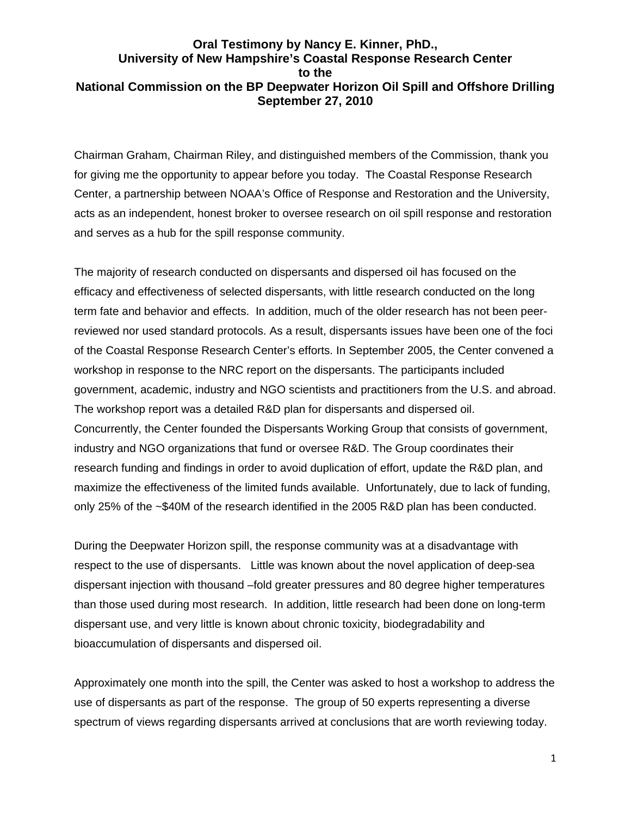## **Oral Testimony by Nancy E. Kinner, PhD., University of New Hampshire's Coastal Response Research Center to the National Commission on the BP Deepwater Horizon Oil Spill and Offshore Drilling September 27, 2010**

Chairman Graham, Chairman Riley, and distinguished members of the Commission, thank you for giving me the opportunity to appear before you today. The Coastal Response Research Center, a partnership between NOAA's Office of Response and Restoration and the University, acts as an independent, honest broker to oversee research on oil spill response and restoration and serves as a hub for the spill response community.

The majority of research conducted on dispersants and dispersed oil has focused on the efficacy and effectiveness of selected dispersants, with little research conducted on the long term fate and behavior and effects. In addition, much of the older research has not been peerreviewed nor used standard protocols. As a result, dispersants issues have been one of the foci of the Coastal Response Research Center's efforts. In September 2005, the Center convened a workshop in response to the NRC report on the dispersants. The participants included government, academic, industry and NGO scientists and practitioners from the U.S. and abroad. The workshop report was a detailed R&D plan for dispersants and dispersed oil. Concurrently, the Center founded the Dispersants Working Group that consists of government, industry and NGO organizations that fund or oversee R&D. The Group coordinates their research funding and findings in order to avoid duplication of effort, update the R&D plan, and maximize the effectiveness of the limited funds available. Unfortunately, due to lack of funding, only 25% of the ~\$40M of the research identified in the 2005 R&D plan has been conducted.

During the Deepwater Horizon spill, the response community was at a disadvantage with respect to the use of dispersants. Little was known about the novel application of deep-sea dispersant injection with thousand –fold greater pressures and 80 degree higher temperatures than those used during most research. In addition, little research had been done on long-term dispersant use, and very little is known about chronic toxicity, biodegradability and bioaccumulation of dispersants and dispersed oil.

Approximately one month into the spill, the Center was asked to host a workshop to address the use of dispersants as part of the response. The group of 50 experts representing a diverse spectrum of views regarding dispersants arrived at conclusions that are worth reviewing today.